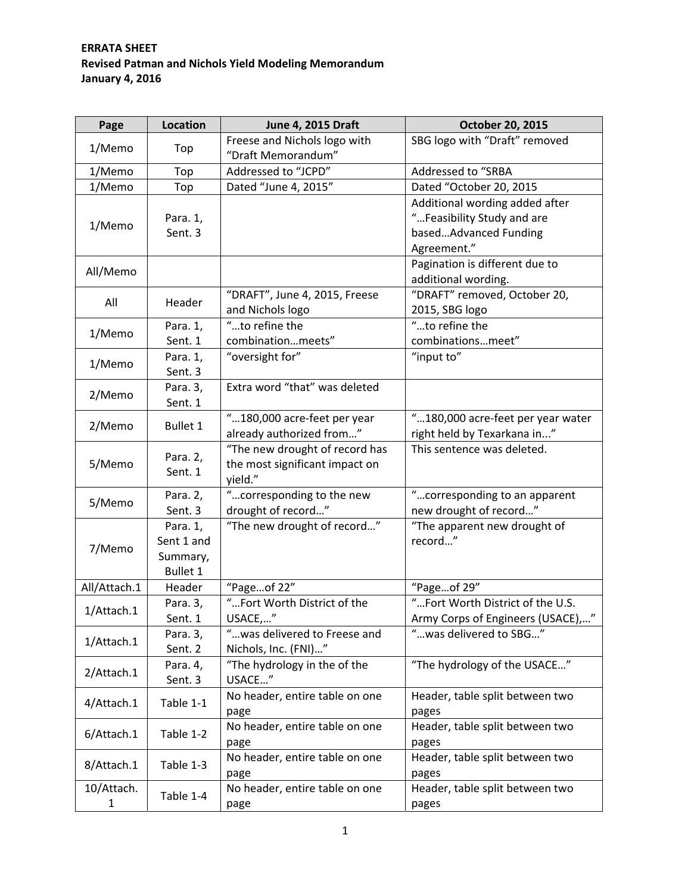## **ERRATA SHEET Revised Patman and Nichols Yield Modeling Memorandum January 4, 2016**

| Page            | <b>Location</b>     | <b>June 4, 2015 Draft</b>      | October 20, 2015                  |
|-----------------|---------------------|--------------------------------|-----------------------------------|
| 1/Memo          |                     | Freese and Nichols logo with   | SBG logo with "Draft" removed     |
|                 | Top                 | "Draft Memorandum"             |                                   |
| 1/Memo          | Top                 | Addressed to "JCPD"            | Addressed to "SRBA                |
| 1/Memo          | Top                 | Dated "June 4, 2015"           | Dated "October 20, 2015           |
|                 |                     |                                | Additional wording added after    |
|                 | Para. 1,            |                                | "Feasibility Study and are        |
| 1/Memo          | Sent. 3             |                                | basedAdvanced Funding             |
|                 |                     |                                | Agreement."                       |
|                 |                     |                                | Pagination is different due to    |
| All/Memo        |                     |                                | additional wording.               |
|                 | Header              | "DRAFT", June 4, 2015, Freese  | "DRAFT" removed, October 20,      |
| All             |                     | and Nichols logo               | 2015, SBG logo                    |
|                 | Para. 1,            | "to refine the                 | "to refine the                    |
| 1/Memo          | Sent. 1             | combinationmeets"              | combinationsmeet"                 |
|                 | Para. 1,            | "oversight for"                | "input to"                        |
| 1/Memo          | Sent. 3             |                                |                                   |
|                 | Para. 3,            | Extra word "that" was deleted  |                                   |
| 2/Memo          | Sent. 1             |                                |                                   |
|                 |                     | "180,000 acre-feet per year    | "180,000 acre-feet per year water |
| 2/Memo          | <b>Bullet 1</b>     | already authorized from"       | right held by Texarkana in"       |
|                 | Para. 2,<br>Sent. 1 | "The new drought of record has | This sentence was deleted.        |
| 5/Memo          |                     | the most significant impact on |                                   |
|                 |                     | yield."                        |                                   |
| 5/Memo          | Para. 2,            | "corresponding to the new      | "corresponding to an apparent     |
|                 | Sent. 3             | drought of record"             | new drought of record"            |
|                 | Para. 1,            | "The new drought of record"    | "The apparent new drought of      |
|                 | Sent 1 and          |                                | record"                           |
| 7/Memo          | Summary,            |                                |                                   |
|                 | <b>Bullet 1</b>     |                                |                                   |
| All/Attach.1    | Header              | "Pageof 22"                    | "Pageof 29"                       |
| 1/Attach.1      | Para. 3,            | "Fort Worth District of the    | "Fort Worth District of the U.S.  |
|                 | Sent. 1             | USACE,"                        | Army Corps of Engineers (USACE)," |
| 1/Attach.1      | Para. 3,            | "was delivered to Freese and   | " was delivered to SBG"           |
|                 | Sent. 2             | Nichols, Inc. (FNI)"           |                                   |
| 2/Attach.1      | Para. 4,            | "The hydrology in the of the   | "The hydrology of the USACE"      |
|                 | Sent. 3             | USACE"                         |                                   |
|                 |                     | No header, entire table on one | Header, table split between two   |
| 4/Attach.1      | Table 1-1           | page                           | pages                             |
| 6/Attach.1      | Table 1-2           | No header, entire table on one | Header, table split between two   |
|                 |                     | page                           | pages                             |
| 8/Attach.1      | Table 1-3           | No header, entire table on one | Header, table split between two   |
|                 |                     | page                           | pages                             |
| 10/Attach.<br>1 | Table 1-4           | No header, entire table on one | Header, table split between two   |
|                 |                     | page                           | pages                             |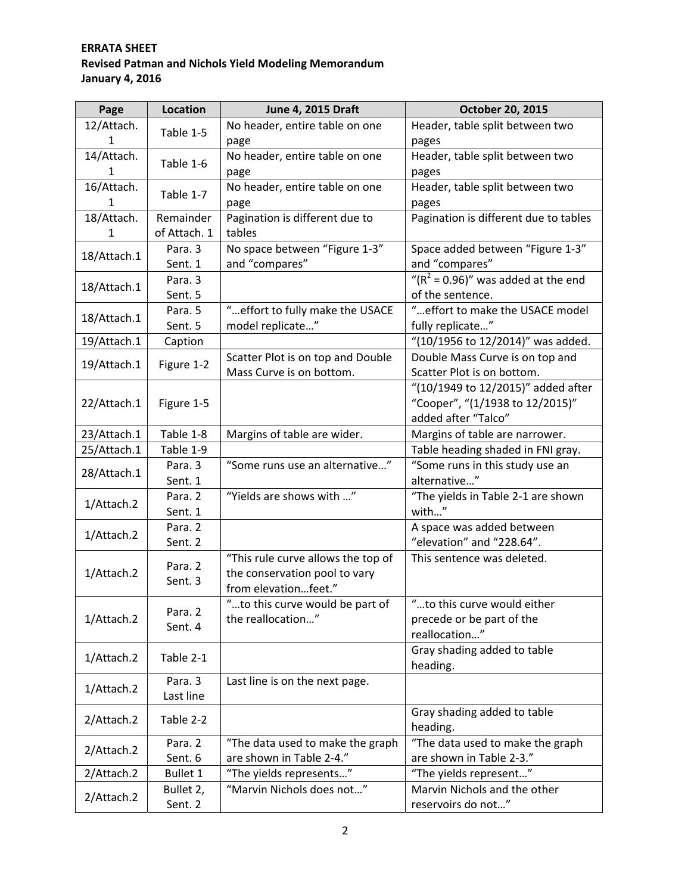## **ERRATA SHEET Revised Patman and Nichols Yield Modeling Memorandum January 4, 2016**

| No header, entire table on one<br>12/Attach.<br>Header, table split between two<br>Table 1-5<br>1<br>pages<br>page<br>No header, entire table on one<br>14/Attach.<br>Header, table split between two<br>Table 1-6<br>1<br>page<br>pages<br>16/Attach.<br>No header, entire table on one<br>Header, table split between two<br>Table 1-7<br>1<br>pages<br>page<br>18/Attach.<br>Pagination is different due to<br>Pagination is different due to tables<br>Remainder<br>of Attach. 1<br>tables<br>1<br>No space between "Figure 1-3"<br>Space added between "Figure 1-3"<br>Para. 3<br>18/Attach.1<br>and "compares"<br>and "compares"<br>Sent. 1<br>" $(R2 = 0.96)$ " was added at the end<br>Para. 3<br>18/Attach.1<br>Sent. 5<br>of the sentence.<br>" effort to fully make the USACE<br>" effort to make the USACE model<br>Para. 5<br>18/Attach.1<br>model replicate"<br>fully replicate"<br>Sent. 5<br>"(10/1956 to 12/2014)" was added.<br>19/Attach.1<br>Caption<br>Scatter Plot is on top and Double<br>Double Mass Curve is on top and<br>Figure 1-2<br>19/Attach.1<br>Mass Curve is on bottom.<br>Scatter Plot is on bottom.<br>"(10/1949 to 12/2015)" added after<br>"Cooper", "(1/1938 to 12/2015)"<br>22/Attach.1<br>Figure 1-5<br>added after "Talco"<br>23/Attach.1<br>Table 1-8<br>Margins of table are wider.<br>Margins of table are narrower.<br>25/Attach.1<br>Table 1-9<br>Table heading shaded in FNI gray.<br>"Some runs use an alternative"<br>Para. 3<br>"Some runs in this study use an<br>28/Attach.1<br>alternative"<br>Sent. 1<br>"Yields are shows with "<br>"The yields in Table 2-1 are shown<br>Para. 2<br>1/Attach.2<br>with"<br>Sent. 1<br>A space was added between<br>Para. 2<br>1/Attach.2<br>"elevation" and "228.64".<br>Sent. 2<br>"This rule curve allows the top of<br>This sentence was deleted.<br>Para. 2<br>the conservation pool to vary<br>1/Attach.2<br>Sent. 3<br>from elevationfeet."<br>"to this curve would either<br>"to this curve would be part of |
|--------------------------------------------------------------------------------------------------------------------------------------------------------------------------------------------------------------------------------------------------------------------------------------------------------------------------------------------------------------------------------------------------------------------------------------------------------------------------------------------------------------------------------------------------------------------------------------------------------------------------------------------------------------------------------------------------------------------------------------------------------------------------------------------------------------------------------------------------------------------------------------------------------------------------------------------------------------------------------------------------------------------------------------------------------------------------------------------------------------------------------------------------------------------------------------------------------------------------------------------------------------------------------------------------------------------------------------------------------------------------------------------------------------------------------------------------------------------------------------------------------------------------------------------------------------------------------------------------------------------------------------------------------------------------------------------------------------------------------------------------------------------------------------------------------------------------------------------------------------------------------------------------------------------------------------------------------------------------------------------------------------|
|                                                                                                                                                                                                                                                                                                                                                                                                                                                                                                                                                                                                                                                                                                                                                                                                                                                                                                                                                                                                                                                                                                                                                                                                                                                                                                                                                                                                                                                                                                                                                                                                                                                                                                                                                                                                                                                                                                                                                                                                              |
|                                                                                                                                                                                                                                                                                                                                                                                                                                                                                                                                                                                                                                                                                                                                                                                                                                                                                                                                                                                                                                                                                                                                                                                                                                                                                                                                                                                                                                                                                                                                                                                                                                                                                                                                                                                                                                                                                                                                                                                                              |
|                                                                                                                                                                                                                                                                                                                                                                                                                                                                                                                                                                                                                                                                                                                                                                                                                                                                                                                                                                                                                                                                                                                                                                                                                                                                                                                                                                                                                                                                                                                                                                                                                                                                                                                                                                                                                                                                                                                                                                                                              |
|                                                                                                                                                                                                                                                                                                                                                                                                                                                                                                                                                                                                                                                                                                                                                                                                                                                                                                                                                                                                                                                                                                                                                                                                                                                                                                                                                                                                                                                                                                                                                                                                                                                                                                                                                                                                                                                                                                                                                                                                              |
|                                                                                                                                                                                                                                                                                                                                                                                                                                                                                                                                                                                                                                                                                                                                                                                                                                                                                                                                                                                                                                                                                                                                                                                                                                                                                                                                                                                                                                                                                                                                                                                                                                                                                                                                                                                                                                                                                                                                                                                                              |
|                                                                                                                                                                                                                                                                                                                                                                                                                                                                                                                                                                                                                                                                                                                                                                                                                                                                                                                                                                                                                                                                                                                                                                                                                                                                                                                                                                                                                                                                                                                                                                                                                                                                                                                                                                                                                                                                                                                                                                                                              |
|                                                                                                                                                                                                                                                                                                                                                                                                                                                                                                                                                                                                                                                                                                                                                                                                                                                                                                                                                                                                                                                                                                                                                                                                                                                                                                                                                                                                                                                                                                                                                                                                                                                                                                                                                                                                                                                                                                                                                                                                              |
|                                                                                                                                                                                                                                                                                                                                                                                                                                                                                                                                                                                                                                                                                                                                                                                                                                                                                                                                                                                                                                                                                                                                                                                                                                                                                                                                                                                                                                                                                                                                                                                                                                                                                                                                                                                                                                                                                                                                                                                                              |
|                                                                                                                                                                                                                                                                                                                                                                                                                                                                                                                                                                                                                                                                                                                                                                                                                                                                                                                                                                                                                                                                                                                                                                                                                                                                                                                                                                                                                                                                                                                                                                                                                                                                                                                                                                                                                                                                                                                                                                                                              |
|                                                                                                                                                                                                                                                                                                                                                                                                                                                                                                                                                                                                                                                                                                                                                                                                                                                                                                                                                                                                                                                                                                                                                                                                                                                                                                                                                                                                                                                                                                                                                                                                                                                                                                                                                                                                                                                                                                                                                                                                              |
|                                                                                                                                                                                                                                                                                                                                                                                                                                                                                                                                                                                                                                                                                                                                                                                                                                                                                                                                                                                                                                                                                                                                                                                                                                                                                                                                                                                                                                                                                                                                                                                                                                                                                                                                                                                                                                                                                                                                                                                                              |
|                                                                                                                                                                                                                                                                                                                                                                                                                                                                                                                                                                                                                                                                                                                                                                                                                                                                                                                                                                                                                                                                                                                                                                                                                                                                                                                                                                                                                                                                                                                                                                                                                                                                                                                                                                                                                                                                                                                                                                                                              |
|                                                                                                                                                                                                                                                                                                                                                                                                                                                                                                                                                                                                                                                                                                                                                                                                                                                                                                                                                                                                                                                                                                                                                                                                                                                                                                                                                                                                                                                                                                                                                                                                                                                                                                                                                                                                                                                                                                                                                                                                              |
|                                                                                                                                                                                                                                                                                                                                                                                                                                                                                                                                                                                                                                                                                                                                                                                                                                                                                                                                                                                                                                                                                                                                                                                                                                                                                                                                                                                                                                                                                                                                                                                                                                                                                                                                                                                                                                                                                                                                                                                                              |
|                                                                                                                                                                                                                                                                                                                                                                                                                                                                                                                                                                                                                                                                                                                                                                                                                                                                                                                                                                                                                                                                                                                                                                                                                                                                                                                                                                                                                                                                                                                                                                                                                                                                                                                                                                                                                                                                                                                                                                                                              |
|                                                                                                                                                                                                                                                                                                                                                                                                                                                                                                                                                                                                                                                                                                                                                                                                                                                                                                                                                                                                                                                                                                                                                                                                                                                                                                                                                                                                                                                                                                                                                                                                                                                                                                                                                                                                                                                                                                                                                                                                              |
|                                                                                                                                                                                                                                                                                                                                                                                                                                                                                                                                                                                                                                                                                                                                                                                                                                                                                                                                                                                                                                                                                                                                                                                                                                                                                                                                                                                                                                                                                                                                                                                                                                                                                                                                                                                                                                                                                                                                                                                                              |
|                                                                                                                                                                                                                                                                                                                                                                                                                                                                                                                                                                                                                                                                                                                                                                                                                                                                                                                                                                                                                                                                                                                                                                                                                                                                                                                                                                                                                                                                                                                                                                                                                                                                                                                                                                                                                                                                                                                                                                                                              |
|                                                                                                                                                                                                                                                                                                                                                                                                                                                                                                                                                                                                                                                                                                                                                                                                                                                                                                                                                                                                                                                                                                                                                                                                                                                                                                                                                                                                                                                                                                                                                                                                                                                                                                                                                                                                                                                                                                                                                                                                              |
|                                                                                                                                                                                                                                                                                                                                                                                                                                                                                                                                                                                                                                                                                                                                                                                                                                                                                                                                                                                                                                                                                                                                                                                                                                                                                                                                                                                                                                                                                                                                                                                                                                                                                                                                                                                                                                                                                                                                                                                                              |
|                                                                                                                                                                                                                                                                                                                                                                                                                                                                                                                                                                                                                                                                                                                                                                                                                                                                                                                                                                                                                                                                                                                                                                                                                                                                                                                                                                                                                                                                                                                                                                                                                                                                                                                                                                                                                                                                                                                                                                                                              |
|                                                                                                                                                                                                                                                                                                                                                                                                                                                                                                                                                                                                                                                                                                                                                                                                                                                                                                                                                                                                                                                                                                                                                                                                                                                                                                                                                                                                                                                                                                                                                                                                                                                                                                                                                                                                                                                                                                                                                                                                              |
|                                                                                                                                                                                                                                                                                                                                                                                                                                                                                                                                                                                                                                                                                                                                                                                                                                                                                                                                                                                                                                                                                                                                                                                                                                                                                                                                                                                                                                                                                                                                                                                                                                                                                                                                                                                                                                                                                                                                                                                                              |
|                                                                                                                                                                                                                                                                                                                                                                                                                                                                                                                                                                                                                                                                                                                                                                                                                                                                                                                                                                                                                                                                                                                                                                                                                                                                                                                                                                                                                                                                                                                                                                                                                                                                                                                                                                                                                                                                                                                                                                                                              |
|                                                                                                                                                                                                                                                                                                                                                                                                                                                                                                                                                                                                                                                                                                                                                                                                                                                                                                                                                                                                                                                                                                                                                                                                                                                                                                                                                                                                                                                                                                                                                                                                                                                                                                                                                                                                                                                                                                                                                                                                              |
|                                                                                                                                                                                                                                                                                                                                                                                                                                                                                                                                                                                                                                                                                                                                                                                                                                                                                                                                                                                                                                                                                                                                                                                                                                                                                                                                                                                                                                                                                                                                                                                                                                                                                                                                                                                                                                                                                                                                                                                                              |
|                                                                                                                                                                                                                                                                                                                                                                                                                                                                                                                                                                                                                                                                                                                                                                                                                                                                                                                                                                                                                                                                                                                                                                                                                                                                                                                                                                                                                                                                                                                                                                                                                                                                                                                                                                                                                                                                                                                                                                                                              |
|                                                                                                                                                                                                                                                                                                                                                                                                                                                                                                                                                                                                                                                                                                                                                                                                                                                                                                                                                                                                                                                                                                                                                                                                                                                                                                                                                                                                                                                                                                                                                                                                                                                                                                                                                                                                                                                                                                                                                                                                              |
|                                                                                                                                                                                                                                                                                                                                                                                                                                                                                                                                                                                                                                                                                                                                                                                                                                                                                                                                                                                                                                                                                                                                                                                                                                                                                                                                                                                                                                                                                                                                                                                                                                                                                                                                                                                                                                                                                                                                                                                                              |
|                                                                                                                                                                                                                                                                                                                                                                                                                                                                                                                                                                                                                                                                                                                                                                                                                                                                                                                                                                                                                                                                                                                                                                                                                                                                                                                                                                                                                                                                                                                                                                                                                                                                                                                                                                                                                                                                                                                                                                                                              |
|                                                                                                                                                                                                                                                                                                                                                                                                                                                                                                                                                                                                                                                                                                                                                                                                                                                                                                                                                                                                                                                                                                                                                                                                                                                                                                                                                                                                                                                                                                                                                                                                                                                                                                                                                                                                                                                                                                                                                                                                              |
| Para. 2                                                                                                                                                                                                                                                                                                                                                                                                                                                                                                                                                                                                                                                                                                                                                                                                                                                                                                                                                                                                                                                                                                                                                                                                                                                                                                                                                                                                                                                                                                                                                                                                                                                                                                                                                                                                                                                                                                                                                                                                      |
| the reallocation"<br>precede or be part of the<br>1/Attach.2<br>Sent. 4<br>reallocation"                                                                                                                                                                                                                                                                                                                                                                                                                                                                                                                                                                                                                                                                                                                                                                                                                                                                                                                                                                                                                                                                                                                                                                                                                                                                                                                                                                                                                                                                                                                                                                                                                                                                                                                                                                                                                                                                                                                     |
|                                                                                                                                                                                                                                                                                                                                                                                                                                                                                                                                                                                                                                                                                                                                                                                                                                                                                                                                                                                                                                                                                                                                                                                                                                                                                                                                                                                                                                                                                                                                                                                                                                                                                                                                                                                                                                                                                                                                                                                                              |
| Gray shading added to table<br>Table 2-1<br>1/Attach.2                                                                                                                                                                                                                                                                                                                                                                                                                                                                                                                                                                                                                                                                                                                                                                                                                                                                                                                                                                                                                                                                                                                                                                                                                                                                                                                                                                                                                                                                                                                                                                                                                                                                                                                                                                                                                                                                                                                                                       |
| heading.                                                                                                                                                                                                                                                                                                                                                                                                                                                                                                                                                                                                                                                                                                                                                                                                                                                                                                                                                                                                                                                                                                                                                                                                                                                                                                                                                                                                                                                                                                                                                                                                                                                                                                                                                                                                                                                                                                                                                                                                     |
| Para. 3<br>Last line is on the next page.<br>1/Attach.2<br>Last line                                                                                                                                                                                                                                                                                                                                                                                                                                                                                                                                                                                                                                                                                                                                                                                                                                                                                                                                                                                                                                                                                                                                                                                                                                                                                                                                                                                                                                                                                                                                                                                                                                                                                                                                                                                                                                                                                                                                         |
| Gray shading added to table                                                                                                                                                                                                                                                                                                                                                                                                                                                                                                                                                                                                                                                                                                                                                                                                                                                                                                                                                                                                                                                                                                                                                                                                                                                                                                                                                                                                                                                                                                                                                                                                                                                                                                                                                                                                                                                                                                                                                                                  |
| 2/Attach.2<br>Table 2-2                                                                                                                                                                                                                                                                                                                                                                                                                                                                                                                                                                                                                                                                                                                                                                                                                                                                                                                                                                                                                                                                                                                                                                                                                                                                                                                                                                                                                                                                                                                                                                                                                                                                                                                                                                                                                                                                                                                                                                                      |
| heading.<br>"The data used to make the graph<br>Para. 2<br>"The data used to make the graph                                                                                                                                                                                                                                                                                                                                                                                                                                                                                                                                                                                                                                                                                                                                                                                                                                                                                                                                                                                                                                                                                                                                                                                                                                                                                                                                                                                                                                                                                                                                                                                                                                                                                                                                                                                                                                                                                                                  |
| 2/Attach.2<br>are shown in Table 2-4."<br>are shown in Table 2-3."<br>Sent. 6                                                                                                                                                                                                                                                                                                                                                                                                                                                                                                                                                                                                                                                                                                                                                                                                                                                                                                                                                                                                                                                                                                                                                                                                                                                                                                                                                                                                                                                                                                                                                                                                                                                                                                                                                                                                                                                                                                                                |
| "The yields represents"<br>"The yields represent"<br>2/Attach.2<br><b>Bullet 1</b>                                                                                                                                                                                                                                                                                                                                                                                                                                                                                                                                                                                                                                                                                                                                                                                                                                                                                                                                                                                                                                                                                                                                                                                                                                                                                                                                                                                                                                                                                                                                                                                                                                                                                                                                                                                                                                                                                                                           |
| "Marvin Nichols does not"<br>Marvin Nichols and the other<br>Bullet 2,                                                                                                                                                                                                                                                                                                                                                                                                                                                                                                                                                                                                                                                                                                                                                                                                                                                                                                                                                                                                                                                                                                                                                                                                                                                                                                                                                                                                                                                                                                                                                                                                                                                                                                                                                                                                                                                                                                                                       |
| 2/Attach.2<br>Sent. 2<br>reservoirs do not"                                                                                                                                                                                                                                                                                                                                                                                                                                                                                                                                                                                                                                                                                                                                                                                                                                                                                                                                                                                                                                                                                                                                                                                                                                                                                                                                                                                                                                                                                                                                                                                                                                                                                                                                                                                                                                                                                                                                                                  |